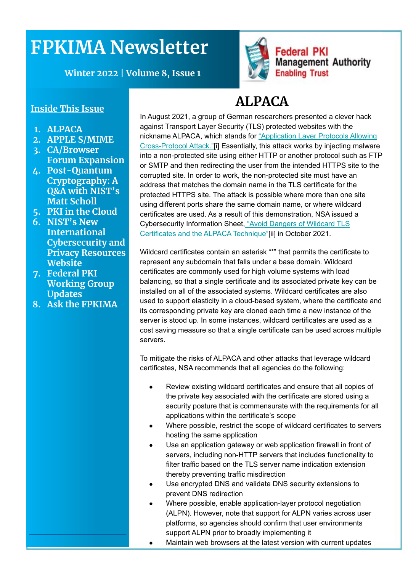# **FPKIMA Newsletter**

**Winter 2022 | Volume 8, Issue 1**

#### **Inside This Issue**

- **1. ALPACA**
- **2. APPLE S/MIME**
- **3. CA/Browser Forum Expansion**
- **4. Post-Quantum Cryptography: A Q&A with NIST's Matt Scholl**
- **5. PKI in the Cloud**
- **6. NIST's New International Cybersecurity and Privacy Resources Website**
- **7. Federal PKI Working Group Updates**
- **8. Ask the FPKIMA**

## **ALPACA**

**Federal PKI** 

**Enabling Trust** 

**Management Authority** 

In August 2021, a group of German researchers presented a clever hack against Transport Layer Security (TLS) protected websites with the nickname ALPACA, which stands for ["Application Layer Protocols Allowing](https://alpaca-attack.com/ALPACA.pdf) [Cross-Protocol Attack."](https://alpaca-attack.com/ALPACA.pdf)[i] Essentially, this attack works by injecting malware into a non-protected site using either HTTP or another protocol such as FTP or SMTP and then redirecting the user from the intended HTTPS site to the corrupted site. In order to work, the non-protected site must have an address that matches the domain name in the TLS certificate for the protected HTTPS site. The attack is possible where more than one site using different ports share the same domain name, or where wildcard certificates are used. As a result of this demonstration, NSA issued a Cybersecurity Information Sheet[, "Avoid Dangers of Wildcard TLS](https://www.nsa.gov/Press-Room/News-Highlights/Article/Article/2804293/avoid-dangers-of-wildcard-tls-certificates-the-alpaca-technique/) [Certificates and the ALPACA Technique"\[](https://www.nsa.gov/Press-Room/News-Highlights/Article/Article/2804293/avoid-dangers-of-wildcard-tls-certificates-the-alpaca-technique/)ii] in October 2021.

Wildcard certificates contain an asterisk "\*" that permits the certificate to represent any subdomain that falls under a base domain. Wildcard certificates are commonly used for high volume systems with load balancing, so that a single certificate and its associated private key can be installed on all of the associated systems. Wildcard certificates are also used to support elasticity in a cloud-based system, where the certificate and its corresponding private key are cloned each time a new instance of the server is stood up. In some instances, wildcard certificates are used as a cost saving measure so that a single certificate can be used across multiple servers.

To mitigate the risks of ALPACA and other attacks that leverage wildcard certificates, NSA recommends that all agencies do the following:

- Review existing wildcard certificates and ensure that all copies of the private key associated with the certificate are stored using a security posture that is commensurate with the requirements for all applications within the certificate's scope
- Where possible, restrict the scope of wildcard certificates to servers hosting the same application
- Use an application gateway or web application firewall in front of servers, including non-HTTP servers that includes functionality to filter traffic based on the TLS server name indication extension thereby preventing traffic misdirection
- Use encrypted DNS and validate DNS security extensions to prevent DNS redirection
- Where possible, enable application-layer protocol negotiation (ALPN). However, note that support for ALPN varies across user platforms, so agencies should confirm that user environments support ALPN prior to broadly implementing it
- Maintain web browsers at the latest version with current updates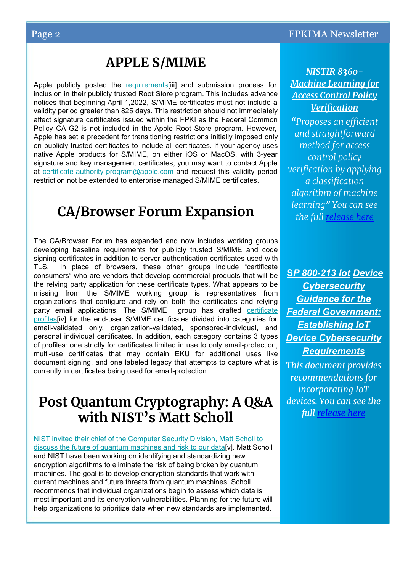### **APPLE S/MIME**

Apple publicly posted the requirements<sup>[iii]</sup> and submission process for inclusion in their publicly trusted Root Store program. This includes advance notices that beginning April 1,2022, S/MIME certificates must not include a validity period greater than 825 days. This restriction should not immediately affect signature certificates issued within the FPKI as the Federal Common Policy CA G2 is not included in the Apple Root Store program. However, Apple has set a precedent for transitioning restrictions initially imposed only on publicly trusted certificates to include all certificates. If your agency uses native Apple products for S/MIME, on either iOS or MacOS, with 3-year signature and key management certificates, you may want to contact Apple at [certificate-authority-program@apple.com](mailto:certificate-authority-program@apple.com) and request this validity period restriction not be extended to enterprise managed S/MIME certificates.

### **CA/Browser Forum Expansion**

The CA/Browser Forum has expanded and now includes working groups developing baseline requirements for publicly trusted S/MIME and code signing certificates in addition to server authentication certificates used with TLS. In place of browsers, these other groups include "certificate consumers" who are vendors that develop commercial products that will be the relying party application for these certificate types. What appears to be missing from the S/MIME working group is representatives from organizations that configure and rely on both the certificates and relying<br>party email applications. The S/MIME group has drafted certificate party email applications. The S/MIME [profiles\[](https://docs.google.com/spreadsheets/d/1gEq-o4jU1FWvKBeMoncfmhAUemAgGuvVRSLQb7PedLU/edit)iv] for the end-user S/MIME certificates divided into categories for email-validated only, organization-validated, sponsored-individual, and personal individual certificates. In addition, each category contains 3 types of profiles: one strictly for certificates limited in use to only email-protection, multi-use certificates that may contain EKU for additional uses like document signing, and one labeled legacy that attempts to capture what is currently in certificates being used for email-protection.

#### **Post Quantum Cryptography: A Q&A with NIST's Matt Scholl**

[NIST invited their chief of the Computer Security Division, Matt Scholl to](https://www.nist.gov/blogs/taking-measure/post-quantum-cryptography-qa-nists-matt-scholl) [discuss the future of quantum machines and risk to our data\[](https://www.nist.gov/blogs/taking-measure/post-quantum-cryptography-qa-nists-matt-scholl)v]. Matt Scholl and NIST have been working on identifying and standardizing new encryption algorithms to eliminate the risk of being broken by quantum machines. The goal is to develop encryption standards that work with current machines and future threats from quantum machines. Scholl recommends that individual organizations begin to assess which data is most important and its encryption vulnerabilities. Planning for the future will help organizations to prioritize data when new standards are implemented.

#### *NISTIR 8360- Machine Learning for Access Control Policy Verification*

*"Proposes an efficient and straightforward method for access control policy verification by applying a classification algorithm of machine learning" You can see the full [release here](https://nvlpubs.nist.gov/nistpubs/ir/2021/NIST.IR.8360.pdf)*

**S***P 800-213 Iot Device Cybersecurity Guidance for the Federal Government: Establishing IoT Device Cybersecurity Requirements This document provides recommendations for incorporating IoT devices. You can see the* 

*full [release here](https://csrc.nist.gov/publications/detail/sp/800-213/final)*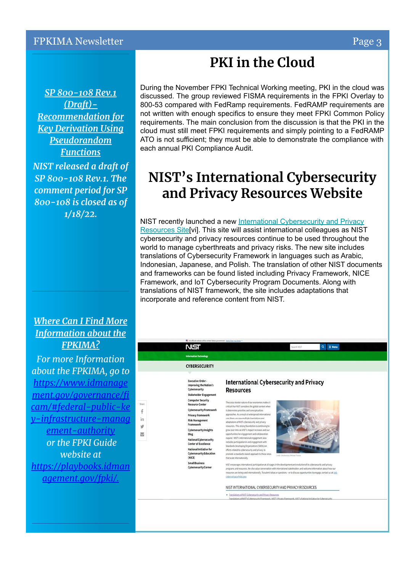*SP 800-108 Rev.1 (Draft)- Recommendation for Key Derivation Using Pseudorandom Functions NIST released a draft of SP 800-108 Rev.1. The comment period for SP 800-108 is closed as of 1/18/22.*

#### *Where Can I Find More Information about the FPKIMA?*

*For more Information about the FPKIMA, go to [https://www.idmanage](https://www.idmanagement.gov/governance/ficam/) [ment.gov/governance/fi](https://www.idmanagement.gov/governance/ficam/) [cam/#federal-public-ke](https://www.idmanagement.gov/governance/ficam/) [y-infrastructure-manag](https://www.idmanagement.gov/governance/ficam/) [ement-authority](https://www.idmanagement.gov/governance/ficam/) or the FPKI Guide website at [https://playbooks.idman](https://playbooks.idmanagement.gov/fpki/) [agement.gov/fpki/.](https://playbooks.idmanagement.gov/fpki/)*

## **PKI in the Cloud**

During the November FPKI Technical Working meeting, PKI in the cloud was discussed. The group reviewed FISMA requirements in the FPKI Overlay to 800-53 compared with FedRamp requirements. FedRAMP requirements are not written with enough specifics to ensure they meet FPKI Common Policy requirements. The main conclusion from the discussion is that the PKI in the cloud must still meet FPKI requirements and simply pointing to a FedRAMP ATO is not sufficient; they must be able to demonstrate the compliance with each annual PKI Compliance Audit.

## **NIST's International Cybersecurity and Privacy Resources Website**

NIST recently launched a new [International Cybersecurity and Privacy](https://www.nist.gov/cybersecurity/international-cybersecurity-and-privacy-resources) Resources Site<sup>[vi]</sup>. This site will assist international colleagues as NIST cybersecurity and privacy resources continue to be used throughout the world to manage cyberthreats and privacy risks. The new site includes translations of Cybersecurity Framework in languages such as Arabic, Indonesian, Japanese, and Polish. The translation of other NIST documents and frameworks can be found listed including Privacy Framework, NICE Framework, and IoT Cybersecurity Program Documents. Along with translations of NIST framework, the site includes adaptations that incorporate and reference content from NIST.